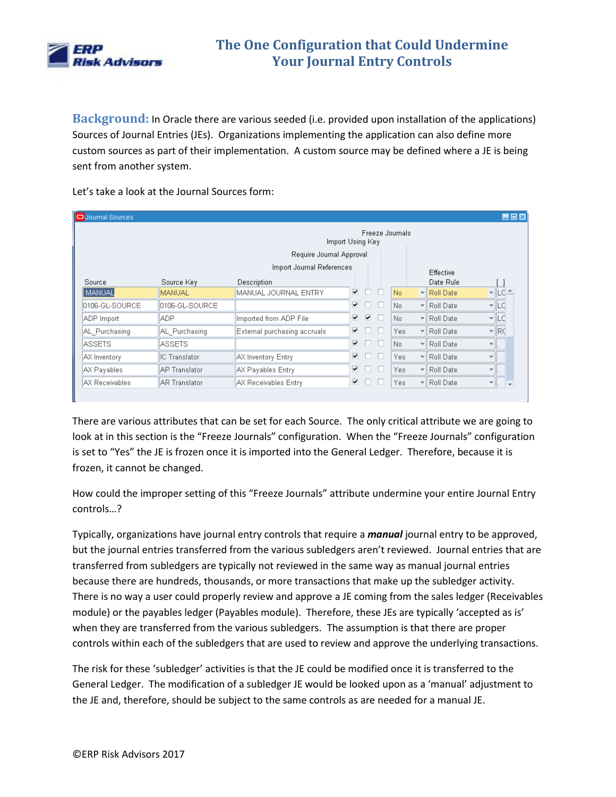

**Background:** In Oracle there are various seeded (i.e. provided upon installation of the applications) Sources of Journal Entries (JEs). Organizations implementing the application can also define more custom sources as part of their implementation. A custom source may be defined where a JE is being sent from another system.

Let's take a look at the Journal Sources form:

| $\blacksquare$ $\blacksquare$ $\blacksquare$<br>O Journal Sources |                           |                                     |   |                   |      |                          |           |                          |                                                                                                     |
|-------------------------------------------------------------------|---------------------------|-------------------------------------|---|-------------------|------|--------------------------|-----------|--------------------------|-----------------------------------------------------------------------------------------------------|
|                                                                   |                           | Freeze Journals<br>Import Using Key |   |                   |      |                          |           |                          |                                                                                                     |
|                                                                   |                           | Require Journal Approval            |   |                   |      |                          |           |                          |                                                                                                     |
|                                                                   | Import Journal References |                                     |   |                   |      |                          | Effective |                          |                                                                                                     |
| Source                                                            | Source Key                | Description                         |   |                   |      |                          | Date Rule |                          |                                                                                                     |
| MANUAL                                                            | <b>MANUAL</b>             | MANUAL JOURNAL ENTRY                | ▿ | H                 | No.  | $\mathbf{v}$             | Roll Date | $\overline{\phantom{a}}$ |                                                                                                     |
| 0106-GL-SOURCE                                                    | 0106-GL-SOURCE            |                                     | ▿ | <b>TELEVISION</b> | No.  | $\frac{1}{2}$            | Roll Date |                          | $\overline{\phantom{a}}$ $\overline{\phantom{a}}$ $\overline{\phantom{a}}$ $\overline{\phantom{a}}$ |
| ADP Import                                                        | <b>ADP</b>                | Imported from ADP File              | ☑ | ▽                 | No.  | ٣I                       | Roll Date |                          | $\overline{\phantom{a}}$ $\overline{\phantom{a}}$ $\overline{\phantom{a}}$ $\overline{\phantom{a}}$ |
| AL Purchasing                                                     | AL Purchasing             | External purchasing accruals        | ▿ |                   | Yes. |                          | Roll Date |                          | $\overline{\mathbf{r}}$ Rd                                                                          |
| <b>ASSETS</b>                                                     | <b>ASSETS</b>             |                                     | ▿ |                   | No.  | ٣I                       | Roll Date | $\overline{\phantom{a}}$ |                                                                                                     |
| AX Inventory                                                      | IC Translator             | AX Inventory Entry                  | ⊽ |                   | Yes. | $\overline{\phantom{a}}$ | Roll Date | ÷                        |                                                                                                     |
| AX Payables                                                       | <b>AP Translator</b>      | AX Payables Entry                   | ⊽ |                   | Yes. |                          | Roll Date | ÷                        |                                                                                                     |
| AX Receivables                                                    | <b>AR Translator</b>      | AX Receivables Entry                | ⊽ |                   | Yes. | $\overline{\phantom{a}}$ | Roll Date |                          |                                                                                                     |

There are various attributes that can be set for each Source. The only critical attribute we are going to look at in this section is the "Freeze Journals" configuration. When the "Freeze Journals" configuration is set to "Yes" the JE is frozen once it is imported into the General Ledger. Therefore, because it is frozen, it cannot be changed.

How could the improper setting of this "Freeze Journals" attribute undermine your entire Journal Entry controls…?

Typically, organizations have journal entry controls that require a *manual* journal entry to be approved, but the journal entries transferred from the various subledgers aren't reviewed. Journal entries that are transferred from subledgers are typically not reviewed in the same way as manual journal entries because there are hundreds, thousands, or more transactions that make up the subledger activity. There is no way a user could properly review and approve a JE coming from the sales ledger (Receivables module) or the payables ledger (Payables module). Therefore, these JEs are typically 'accepted as is' when they are transferred from the various subledgers. The assumption is that there are proper controls within each of the subledgers that are used to review and approve the underlying transactions.

The risk for these 'subledger' activities is that the JE could be modified once it is transferred to the General Ledger. The modification of a subledger JE would be looked upon as a 'manual' adjustment to the JE and, therefore, should be subject to the same controls as are needed for a manual JE.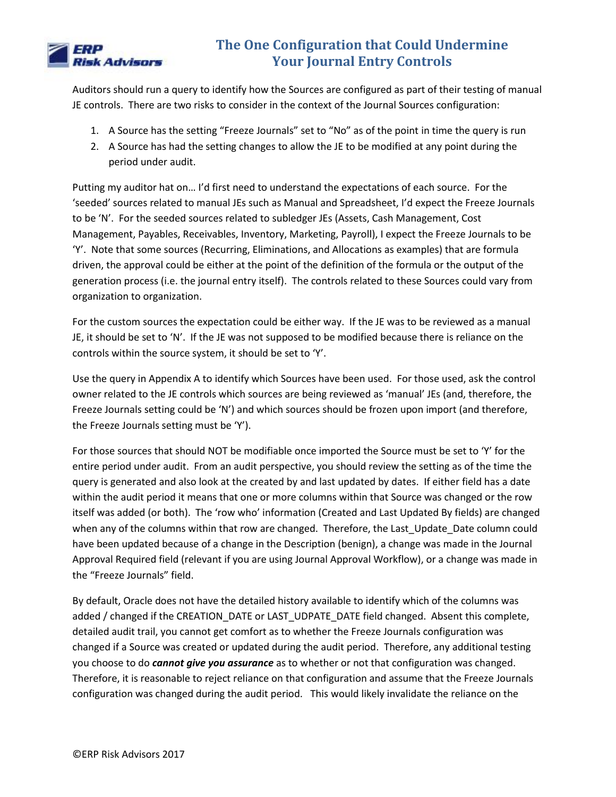

Auditors should run a query to identify how the Sources are configured as part of their testing of manual JE controls. There are two risks to consider in the context of the Journal Sources configuration:

- 1. A Source has the setting "Freeze Journals" set to "No" as of the point in time the query is run
- 2. A Source has had the setting changes to allow the JE to be modified at any point during the period under audit.

Putting my auditor hat on… I'd first need to understand the expectations of each source. For the 'seeded' sources related to manual JEs such as Manual and Spreadsheet, I'd expect the Freeze Journals to be 'N'. For the seeded sources related to subledger JEs (Assets, Cash Management, Cost Management, Payables, Receivables, Inventory, Marketing, Payroll), I expect the Freeze Journals to be 'Y'. Note that some sources (Recurring, Eliminations, and Allocations as examples) that are formula driven, the approval could be either at the point of the definition of the formula or the output of the generation process (i.e. the journal entry itself). The controls related to these Sources could vary from organization to organization.

For the custom sources the expectation could be either way. If the JE was to be reviewed as a manual JE, it should be set to 'N'. If the JE was not supposed to be modified because there is reliance on the controls within the source system, it should be set to 'Y'.

Use the query in Appendix A to identify which Sources have been used. For those used, ask the control owner related to the JE controls which sources are being reviewed as 'manual' JEs (and, therefore, the Freeze Journals setting could be 'N') and which sources should be frozen upon import (and therefore, the Freeze Journals setting must be 'Y').

For those sources that should NOT be modifiable once imported the Source must be set to 'Y' for the entire period under audit. From an audit perspective, you should review the setting as of the time the query is generated and also look at the created by and last updated by dates. If either field has a date within the audit period it means that one or more columns within that Source was changed or the row itself was added (or both). The 'row who' information (Created and Last Updated By fields) are changed when any of the columns within that row are changed. Therefore, the Last\_Update\_Date column could have been updated because of a change in the Description (benign), a change was made in the Journal Approval Required field (relevant if you are using Journal Approval Workflow), or a change was made in the "Freeze Journals" field.

By default, Oracle does not have the detailed history available to identify which of the columns was added / changed if the CREATION\_DATE or LAST\_UDPATE\_DATE field changed. Absent this complete, detailed audit trail, you cannot get comfort as to whether the Freeze Journals configuration was changed if a Source was created or updated during the audit period. Therefore, any additional testing you choose to do *cannot give you assurance* as to whether or not that configuration was changed. Therefore, it is reasonable to reject reliance on that configuration and assume that the Freeze Journals configuration was changed during the audit period. This would likely invalidate the reliance on the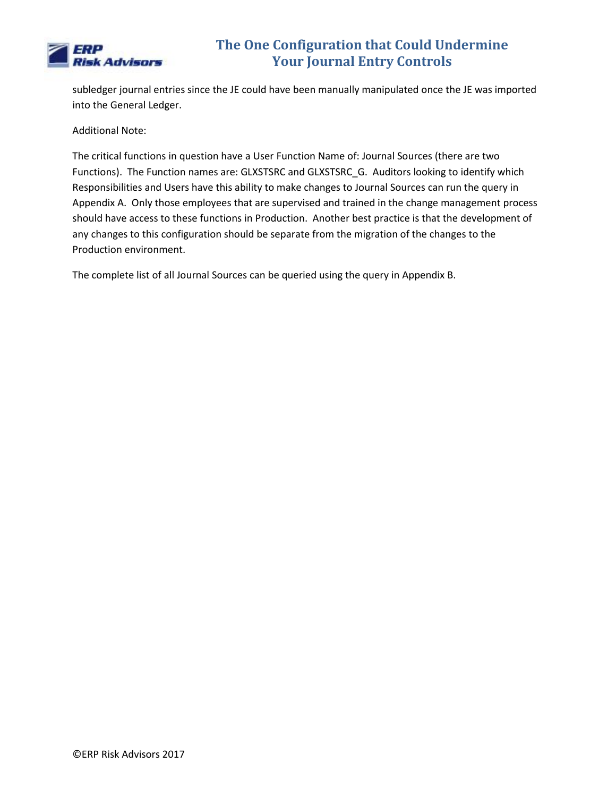

subledger journal entries since the JE could have been manually manipulated once the JE was imported into the General Ledger.

Additional Note:

The critical functions in question have a User Function Name of: Journal Sources (there are two Functions). The Function names are: GLXSTSRC and GLXSTSRC\_G. Auditors looking to identify which Responsibilities and Users have this ability to make changes to Journal Sources can run the query in Appendix A. Only those employees that are supervised and trained in the change management process should have access to these functions in Production. Another best practice is that the development of any changes to this configuration should be separate from the migration of the changes to the Production environment.

The complete list of all Journal Sources can be queried using the query in Appendix B.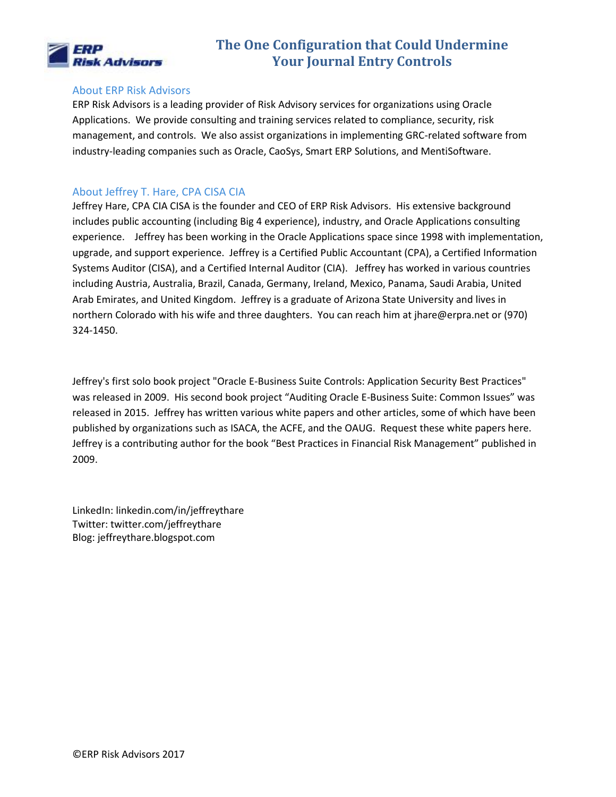

#### About ERP Risk Advisors

ERP Risk Advisors is a leading provider of Risk Advisory services for organizations using Oracle Applications. We provide consulting and training services related to compliance, security, risk management, and controls. We also assist organizations in implementing GRC-related software from industry-leading companies such as Oracle, CaoSys, Smart ERP Solutions, and MentiSoftware.

#### About Jeffrey T. Hare, CPA CISA CIA

Jeffrey Hare, CPA CIA CISA is the founder and CEO of ERP Risk Advisors. His extensive background includes public accounting (including Big 4 experience), industry, and Oracle Applications consulting experience. Jeffrey has been working in the Oracle Applications space since 1998 with implementation, upgrade, and support experience. Jeffrey is a Certified Public Accountant (CPA), a Certified Information Systems Auditor (CISA), and a Certified Internal Auditor (CIA). Jeffrey has worked in various countries including Austria, Australia, Brazil, Canada, Germany, Ireland, Mexico, Panama, Saudi Arabia, United Arab Emirates, and United Kingdom. Jeffrey is a graduate of Arizona State University and lives in northern Colorado with his wife and three daughters. You can reach him at jhare@erpra.net or (970) 324-1450.

Jeffrey's first solo book project "Oracle E-Business Suite Controls: Application Security Best Practices" was released in 2009. His second book project "Auditing Oracle E-Business Suite: Common Issues" was released in 2015. Jeffrey has written various white papers and other articles, some of which have been published by organizations such as ISACA, the ACFE, and the OAUG. Request these white papers here. Jeffrey is a contributing author for the book "Best Practices in Financial Risk Management" published in 2009.

LinkedIn: linkedin.com/in/jeffreythare Twitter: twitter.com/jeffreythare Blog: jeffreythare.blogspot.com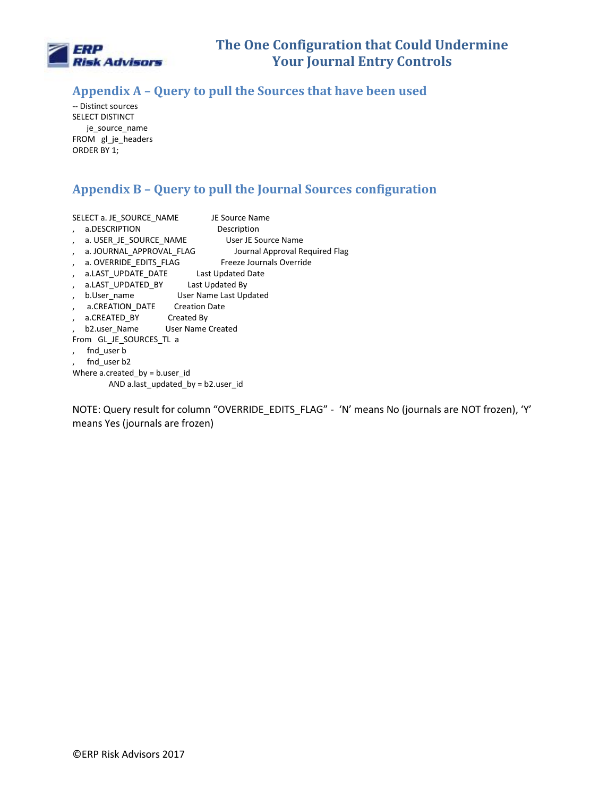

### **Appendix A – Query to pull the Sources that have been used**

-- Distinct sources SELECT DISTINCT je\_source\_name FROM gl\_je\_headers ORDER BY 1;

### **Appendix B – Query to pull the Journal Sources configuration**

|                                      | SELECT a. JE SOURCE NAME              | JE Source Name                 |  |  |  |  |  |  |
|--------------------------------------|---------------------------------------|--------------------------------|--|--|--|--|--|--|
|                                      | a.DESCRIPTION                         | Description                    |  |  |  |  |  |  |
| $\lambda$                            | a. USER_JE_SOURCE_NAME                | User JE Source Name            |  |  |  |  |  |  |
| $\lambda$                            | a. JOURNAL APPROVAL FLAG              | Journal Approval Required Flag |  |  |  |  |  |  |
| $\lambda$                            | a. OVERRIDE EDITS FLAG                | Freeze Journals Override       |  |  |  |  |  |  |
| $\lambda$                            | a.LAST UPDATE DATE Last Updated Date  |                                |  |  |  |  |  |  |
| $\lambda$                            | a.LAST UPDATED BY Last Updated By     |                                |  |  |  |  |  |  |
| $\overline{ }$                       | User Name Last Updated<br>b.User name |                                |  |  |  |  |  |  |
| $\lambda$                            | a.CREATION DATE Creation Date         |                                |  |  |  |  |  |  |
| $\lambda$                            | a.CREATED BY Created By               |                                |  |  |  |  |  |  |
|                                      | b2.user Name User Name Created        |                                |  |  |  |  |  |  |
| From GL JE SOURCES TL a              |                                       |                                |  |  |  |  |  |  |
|                                      | fnd user b                            |                                |  |  |  |  |  |  |
|                                      | fnd user b2                           |                                |  |  |  |  |  |  |
| Where a created $by = b$ user id     |                                       |                                |  |  |  |  |  |  |
| AND allast updated by $= b2$ user id |                                       |                                |  |  |  |  |  |  |

NOTE: Query result for column "OVERRIDE\_EDITS\_FLAG" - 'N' means No (journals are NOT frozen), 'Y' means Yes (journals are frozen)